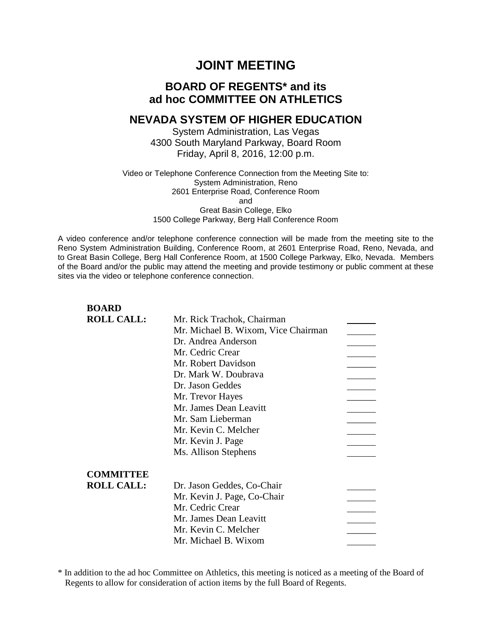# **JOINT MEETING**

# **BOARD OF REGENTS\* and its ad hoc COMMITTEE ON ATHLETICS**

# **NEVADA SYSTEM OF HIGHER EDUCATION**

System Administration, Las Vegas 4300 South Maryland Parkway, Board Room Friday, April 8, 2016, 12:00 p.m.

### Video or Telephone Conference Connection from the Meeting Site to: System Administration, Reno 2601 Enterprise Road, Conference Room and Great Basin College, Elko 1500 College Parkway, Berg Hall Conference Room

A video conference and/or telephone conference connection will be made from the meeting site to the Reno System Administration Building, Conference Room, at 2601 Enterprise Road, Reno, Nevada, and to Great Basin College, Berg Hall Conference Room, at 1500 College Parkway, Elko, Nevada. Members of the Board and/or the public may attend the meeting and provide testimony or public comment at these sites via the video or telephone conference connection.

| <b>BOARD</b>      |                                     |  |
|-------------------|-------------------------------------|--|
| <b>ROLL CALL:</b> | Mr. Rick Trachok, Chairman          |  |
|                   | Mr. Michael B. Wixom, Vice Chairman |  |
|                   | Dr. Andrea Anderson                 |  |
|                   | Mr. Cedric Crear                    |  |
|                   | Mr. Robert Davidson                 |  |
|                   | Dr. Mark W. Doubrava                |  |
|                   | Dr. Jason Geddes                    |  |
|                   | Mr. Trevor Hayes                    |  |
|                   | Mr. James Dean Leavitt              |  |
|                   | Mr. Sam Lieberman                   |  |
|                   | Mr. Kevin C. Melcher                |  |
|                   | Mr. Kevin J. Page                   |  |
|                   | Ms. Allison Stephens                |  |
| <b>COMMITTEE</b>  |                                     |  |
| <b>ROLL CALL:</b> | Dr. Jason Geddes, Co-Chair          |  |
|                   | Mr. Kevin J. Page, Co-Chair         |  |
|                   | Mr. Cedric Crear                    |  |
|                   | Mr. James Dean Leavitt              |  |
|                   | Mr. Kevin C. Melcher                |  |
|                   | Mr. Michael B. Wixom                |  |
|                   |                                     |  |

\* In addition to the ad hoc Committee on Athletics, this meeting is noticed as a meeting of the Board of Regents to allow for consideration of action items by the full Board of Regents.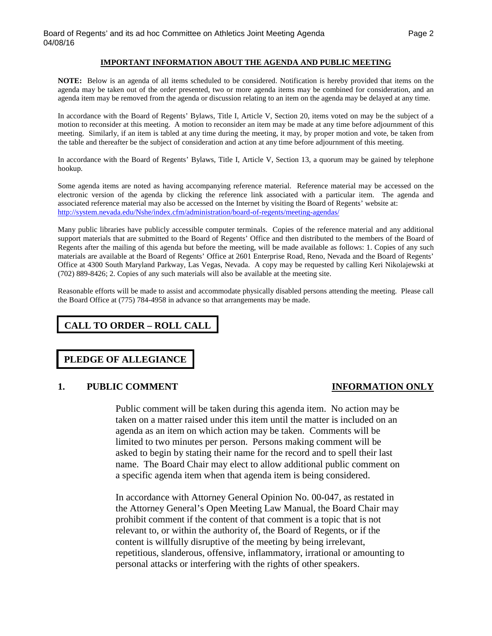### **IMPORTANT INFORMATION ABOUT THE AGENDA AND PUBLIC MEETING**

**NOTE:** Below is an agenda of all items scheduled to be considered. Notification is hereby provided that items on the agenda may be taken out of the order presented, two or more agenda items may be combined for consideration, and an agenda item may be removed from the agenda or discussion relating to an item on the agenda may be delayed at any time.

In accordance with the Board of Regents' Bylaws, Title I, Article V, Section 20, items voted on may be the subject of a motion to reconsider at this meeting. A motion to reconsider an item may be made at any time before adjournment of this meeting. Similarly, if an item is tabled at any time during the meeting, it may, by proper motion and vote, be taken from the table and thereafter be the subject of consideration and action at any time before adjournment of this meeting.

In accordance with the Board of Regents' Bylaws, Title I, Article V, Section 13, a quorum may be gained by telephone hookup.

Some agenda items are noted as having accompanying reference material. Reference material may be accessed on the electronic version of the agenda by clicking the reference link associated with a particular item. The agenda and associated reference material may also be accessed on the Internet by visiting the Board of Regents' website at: <http://system.nevada.edu/Nshe/index.cfm/administration/board-of-regents/meeting-agendas/>

Many public libraries have publicly accessible computer terminals. Copies of the reference material and any additional support materials that are submitted to the Board of Regents' Office and then distributed to the members of the Board of Regents after the mailing of this agenda but before the meeting, will be made available as follows: 1. Copies of any such materials are available at the Board of Regents' Office at 2601 Enterprise Road, Reno, Nevada and the Board of Regents' Office at 4300 South Maryland Parkway, Las Vegas, Nevada. A copy may be requested by calling Keri Nikolajewski at (702) 889-8426; 2. Copies of any such materials will also be available at the meeting site.

Reasonable efforts will be made to assist and accommodate physically disabled persons attending the meeting. Please call the Board Office at (775) 784-4958 in advance so that arrangements may be made.

# **CALL TO ORDER – ROLL CALL**

# **PLEDGE OF ALLEGIANCE**

### **1. PUBLIC COMMENT INFORMATION ONLY**

Public comment will be taken during this agenda item. No action may be taken on a matter raised under this item until the matter is included on an agenda as an item on which action may be taken. Comments will be limited to two minutes per person. Persons making comment will be asked to begin by stating their name for the record and to spell their last name. The Board Chair may elect to allow additional public comment on

In accordance with Attorney General Opinion No. 00-047, as restated in the Attorney General's Open Meeting Law Manual, the Board Chair may prohibit comment if the content of that comment is a topic that is not relevant to, or within the authority of, the Board of Regents, or if the content is willfully disruptive of the meeting by being irrelevant, repetitious, slanderous, offensive, inflammatory, irrational or amounting to personal attacks or interfering with the rights of other speakers.

a specific agenda item when that agenda item is being considered.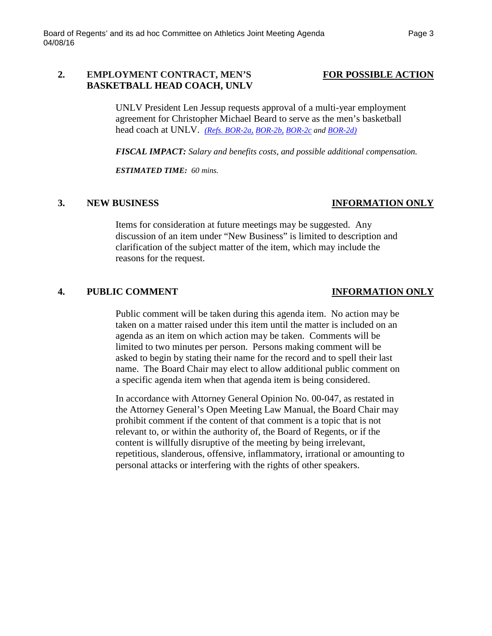## **2. EMPLOYMENT CONTRACT, MEN'S FOR POSSIBLE ACTION BASKETBALL HEAD COACH, UNLV**

UNLV President Len Jessup requests approval of a multi-year employment agreement for Christopher Michael Beard to serve as the men's basketball head coach at UNLV. *[\(Refs. BOR-2a,](http://system.nevada.edu/tasks/sites/Nshe/assets/File/BoardOfRegents/Agendas/2016/apr-mtgs/bor-athl-refs/BOR-2a.pdf) [BOR-2b,](http://system.nevada.edu/tasks/sites/Nshe/assets/File/BoardOfRegents/Agendas/2016/apr-mtgs/bor-athl-refs/BOR-2b.pdf) [BOR-2c](http://system.nevada.edu/tasks/sites/Nshe/assets/File/BoardOfRegents/Agendas/2016/apr-mtgs/bor-athl-refs/BOR-2c.pdf) and [BOR-2d\)](http://system.nevada.edu/tasks/sites/Nshe/assets/File/BoardOfRegents/Agendas/2016/apr-mtgs/bor-athl-refs/BOR-2d.pdf)*

*FISCAL IMPACT: Salary and benefits costs, and possible additional compensation.*

*ESTIMATED TIME: 60 mins.*

### **3. NEW BUSINESS INFORMATION ONLY**

Items for consideration at future meetings may be suggested. Any discussion of an item under "New Business" is limited to description and clarification of the subject matter of the item, which may include the reasons for the request.

# **4. PUBLIC COMMENT INFORMATION ONLY**

Public comment will be taken during this agenda item. No action may be taken on a matter raised under this item until the matter is included on an agenda as an item on which action may be taken. Comments will be limited to two minutes per person. Persons making comment will be asked to begin by stating their name for the record and to spell their last name. The Board Chair may elect to allow additional public comment on a specific agenda item when that agenda item is being considered.

In accordance with Attorney General Opinion No. 00-047, as restated in the Attorney General's Open Meeting Law Manual, the Board Chair may prohibit comment if the content of that comment is a topic that is not relevant to, or within the authority of, the Board of Regents, or if the content is willfully disruptive of the meeting by being irrelevant, repetitious, slanderous, offensive, inflammatory, irrational or amounting to personal attacks or interfering with the rights of other speakers.